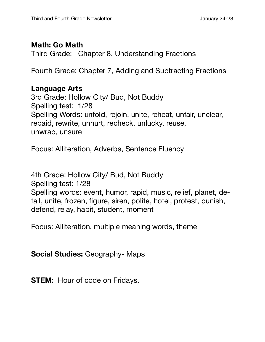## **Math: Go Math**

Third Grade: Chapter 8, Understanding Fractions

Fourth Grade: Chapter 7, Adding and Subtracting Fractions

## **Language Arts**

3rd Grade: Hollow City/ Bud, Not Buddy Spelling test: 1/28 Spelling Words: unfold, rejoin, unite, reheat, unfair, unclear, repaid, rewrite, unhurt, recheck, unlucky, reuse, unwrap, unsure

Focus: Alliteration, Adverbs, Sentence Fluency

4th Grade: Hollow City/ Bud, Not Buddy Spelling test: 1/28 Spelling words: event, humor, rapid, music, relief, planet, detail, unite, frozen, figure, siren, polite, hotel, protest, punish, defend, relay, habit, student, moment

Focus: Alliteration, multiple meaning words, theme

**Social Studies:** Geography- Maps

**STEM:** Hour of code on Fridays.